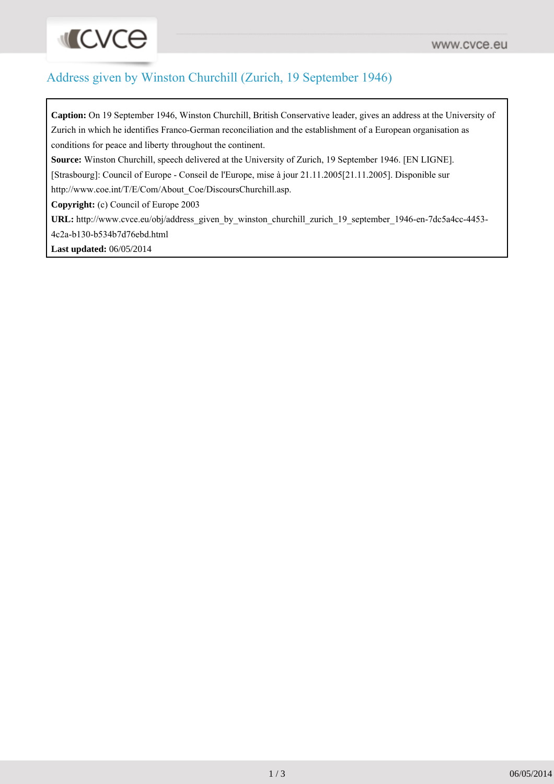# **INCVCe**

#### Address given by Winston Churchill (Zurich, 19 September 1946)

**Caption:** On 19 September 1946, Winston Churchill, British Conservative leader, gives an address at the University of Zurich in which he identifies Franco-German reconciliation and the establishment of a European organisation as conditions for peace and liberty throughout the continent. **Source:** Winston Churchill, speech delivered at the University of Zurich, 19 September 1946. [EN LIGNE]. [Strasbourg]: Council of Europe - Conseil de l'Europe, mise à jour 21.11.2005[21.11.2005]. Disponible sur http://www.coe.int/T/E/Com/About\_Coe/DiscoursChurchill.asp.

**Copyright:** (c) Council of Europe 2003

URL: http://www.cvce.eu/obj/address\_given\_by\_winston\_churchill\_zurich\_19\_september\_1946-en-7dc5a4cc-4453-4c2a-b130-b534b7d76ebd.html

**Last updated:** 06/05/2014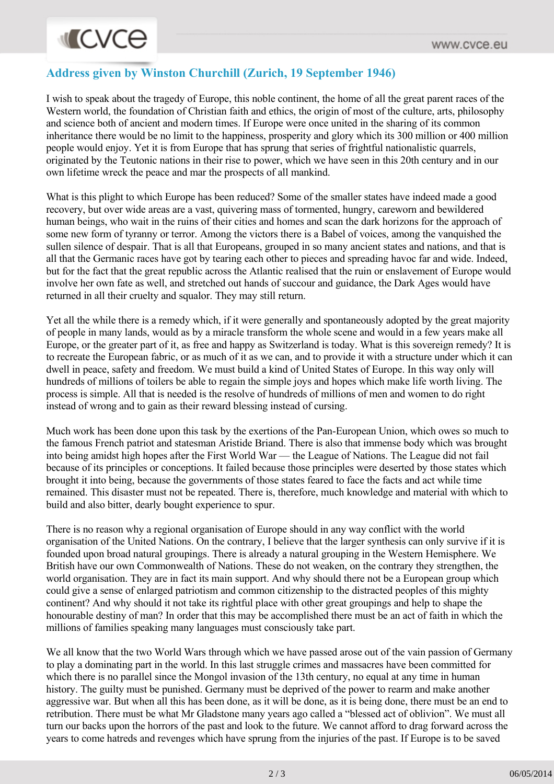# **INCVCe**

#### **Address given by Winston Churchill (Zurich, 19 September 1946)**

I wish to speak about the tragedy of Europe, this noble continent, the home of all the great parent races of the Western world, the foundation of Christian faith and ethics, the origin of most of the culture, arts, philosophy and science both of ancient and modern times. If Europe were once united in the sharing of its common inheritance there would be no limit to the happiness, prosperity and glory which its 300 million or 400 million people would enjoy. Yet it is from Europe that has sprung that series of frightful nationalistic quarrels, originated by the Teutonic nations in their rise to power, which we have seen in this 20th century and in our own lifetime wreck the peace and mar the prospects of all mankind.

What is this plight to which Europe has been reduced? Some of the smaller states have indeed made a good recovery, but over wide areas are a vast, quivering mass of tormented, hungry, careworn and bewildered human beings, who wait in the ruins of their cities and homes and scan the dark horizons for the approach of some new form of tyranny or terror. Among the victors there is a Babel of voices, among the vanquished the sullen silence of despair. That is all that Europeans, grouped in so many ancient states and nations, and that is all that the Germanic races have got by tearing each other to pieces and spreading havoc far and wide. Indeed, but for the fact that the great republic across the Atlantic realised that the ruin or enslavement of Europe would involve her own fate as well, and stretched out hands of succour and guidance, the Dark Ages would have returned in all their cruelty and squalor. They may still return.

Yet all the while there is a remedy which, if it were generally and spontaneously adopted by the great majority of people in many lands, would as by a miracle transform the whole scene and would in a few years make all Europe, or the greater part of it, as free and happy as Switzerland is today. What is this sovereign remedy? It is to recreate the European fabric, or as much of it as we can, and to provide it with a structure under which it can dwell in peace, safety and freedom. We must build a kind of United States of Europe. In this way only will hundreds of millions of toilers be able to regain the simple joys and hopes which make life worth living. The process is simple. All that is needed is the resolve of hundreds of millions of men and women to do right instead of wrong and to gain as their reward blessing instead of cursing.

Much work has been done upon this task by the exertions of the Pan-European Union, which owes so much to the famous French patriot and statesman Aristide Briand. There is also that immense body which was brought into being amidst high hopes after the First World War — the League of Nations. The League did not fail because of its principles or conceptions. It failed because those principles were deserted by those states which brought it into being, because the governments of those states feared to face the facts and act while time remained. This disaster must not be repeated. There is, therefore, much knowledge and material with which to build and also bitter, dearly bought experience to spur.

There is no reason why a regional organisation of Europe should in any way conflict with the world organisation of the United Nations. On the contrary, I believe that the larger synthesis can only survive if it is founded upon broad natural groupings. There is already a natural grouping in the Western Hemisphere. We British have our own Commonwealth of Nations. These do not weaken, on the contrary they strengthen, the world organisation. They are in fact its main support. And why should there not be a European group which could give a sense of enlarged patriotism and common citizenship to the distracted peoples of this mighty continent? And why should it not take its rightful place with other great groupings and help to shape the honourable destiny of man? In order that this may be accomplished there must be an act of faith in which the millions of families speaking many languages must consciously take part.

We all know that the two World Wars through which we have passed arose out of the vain passion of Germany to play a dominating part in the world. In this last struggle crimes and massacres have been committed for which there is no parallel since the Mongol invasion of the 13th century, no equal at any time in human history. The guilty must be punished. Germany must be deprived of the power to rearm and make another aggressive war. But when all this has been done, as it will be done, as it is being done, there must be an end to retribution. There must be what Mr Gladstone many years ago called a "blessed act of oblivion". We must all turn our backs upon the horrors of the past and look to the future. We cannot afford to drag forward across the years to come hatreds and revenges which have sprung from the injuries of the past. If Europe is to be saved